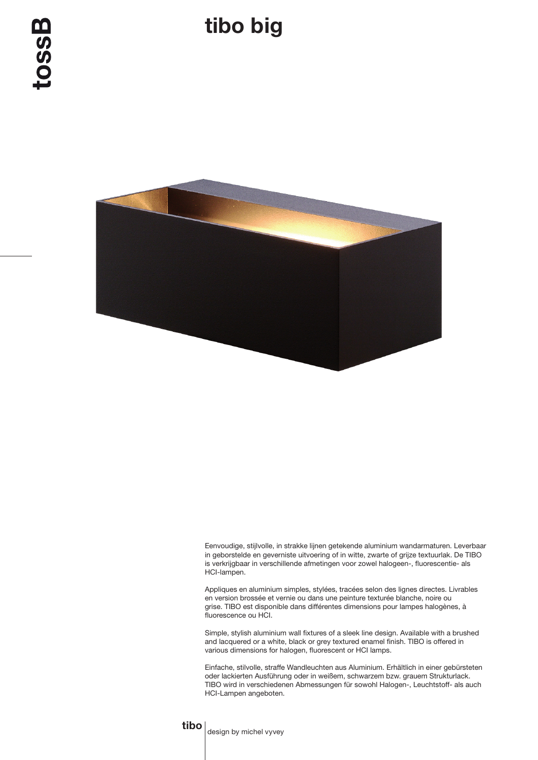

Eenvoudige, stijlvolle, in strakke lijnen getekende aluminium wandarmaturen. Leverbaar in geborstelde en geverniste uitvoering of in witte, zwarte of grijze textuurlak. De TIBO is verkrijgbaar in verschillende afmetingen voor zowel halogeen-, fluorescentie- als HCI-lampen.

Appliques en aluminium simples, stylées, tracées selon des lignes directes. Livrables en version brossée et vernie ou dans une peinture texturée blanche, noire ou grise. TIBO est disponible dans différentes dimensions pour lampes halogènes, à fluorescence ou HCI.

Simple, stylish aluminium wall fixtures of a sleek line design. Available with a brushed and lacquered or a white, black or grey textured enamel finish. TIBO is offered in various dimensions for halogen, fluorescent or HCI lamps.

Einfache, stilvolle, straffe Wandleuchten aus Aluminium. Erhältlich in einer gebürsteten oder lackierten Ausführung oder in weißem, schwarzem bzw. grauem Strukturlack. TIBO wird in verschiedenen Abmessungen für sowohl Halogen-, Leuchtstoff- als auch HCI-Lampen angeboten.